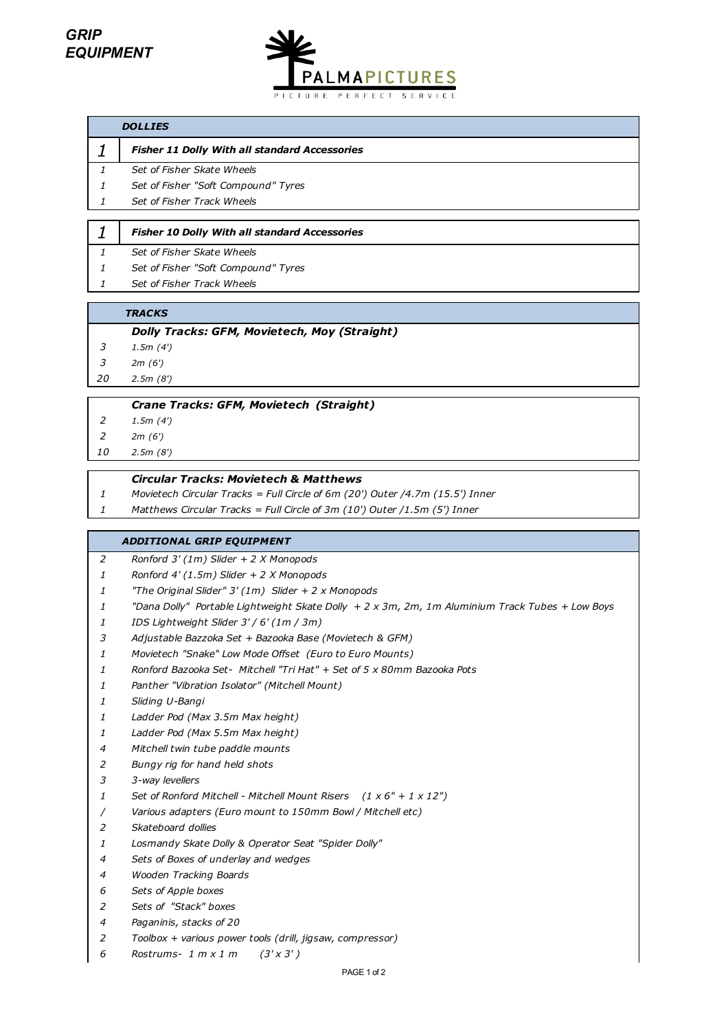

## *DOLLIES*

*Fisher 11 Dolly With all standard Accessories*

| 1 |  |  | Set of Fisher Skate Wheels |
|---|--|--|----------------------------|
|   |  |  |                            |

*Set of Fisher "Soft Compound" Tyres*

*Set of Fisher Track Wheels*

#### *Fisher 10 Dolly With all standard Accessories*

- *Set of Fisher Skate Wheels*
- *Set of Fisher "Soft Compound" Tyres*
- *Set of Fisher Track Wheels*

#### *TRACKS*

#### *Dolly Tracks: GFM, Movietech, Moy (Straight)*

- *1.5m (4')*
- *2m (6')*
- *2.5m (8')*

## *Crane Tracks: GFM, Movietech (Straight)*

- *1.5m (4')*
- *2m (6')*
- *2.5m (8')*

# *Circular Tracks: Movietech & Matthews*

- *Movietech Circular Tracks = Full Circle of 6m (20') Outer /4.7m (15.5') Inner*
- *Matthews Circular Tracks = Full Circle of 3m (10') Outer /1.5m (5') Inner*

## *ADDITIONAL GRIP EQUIPMENT*

- *Ronford 3' (1m) Slider + 2 X Monopods*
- *Ronford 4' (1.5m) Slider + 2 X Monopods*
- *"The Original Slider" 3' (1m) Slider + 2 x Monopods*
- *"Dana Dolly" Portable Lightweight Skate Dolly + 2 x 3m, 2m, 1m Aluminium Track Tubes + Low Boys*
- *IDS Lightweight Slider 3' / 6' (1m / 3m)*
- *Adjustable Bazzoka Set + Bazooka Base (Movietech & GFM)*
- *Movietech "Snake" Low Mode Offset (Euro to Euro Mounts)*
- *Ronford Bazooka Set- Mitchell "Tri Hat" + Set of 5 x 80mm Bazooka Pots*
- *Panther "Vibration Isolator" (Mitchell Mount)*
- *Sliding U-Bangi*
- *Ladder Pod (Max 3.5m Max height)*
- *Ladder Pod (Max 5.5m Max height)*
- *Mitchell twin tube paddle mounts*
- *Bungy rig for hand held shots*
- *3-way levellers*
- *Set of Ronford Mitchell Mitchell Mount Risers (1 x 6" + 1 x 12")*
- */ Various adapters (Euro mount to 150mm Bowl / Mitchell etc)*
- *Skateboard dollies*
- *Losmandy Skate Dolly & Operator Seat "Spider Dolly"*
- *Sets of Boxes of underlay and wedges*
- *Wooden Tracking Boards*
- *Sets of Apple boxes*
- *Sets of "Stack" boxes*
- *Paganinis, stacks of 20*
- *Toolbox + various power tools (drill, jigsaw, compressor)*
- *Rostrums- 1 m x 1 m (3' x 3' )*